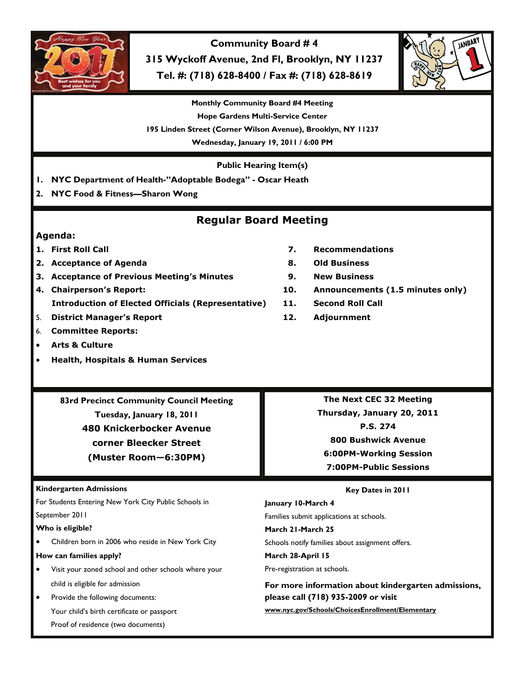

**Community Board # 4 315 Wyckoff Avenue, 2nd Fl, Brooklyn, NY 11237 Tel. #: (718) 628-8400 / Fax #: (718) 628-8619** 



**Monthly Community Board #4 Meeting Hope Gardens Multi-Service Center 195 Linden Street (Corner Wilson Avenue), Brooklyn, NY 11237 Wednesday, January 19, 2011 / 6:00 PM** 

**Public Hearing Item(s)** 

- **1. NYC Department of Health-"Adoptable Bodega" Oscar Heath**
- **2. NYC Food & Fitness—Sharon Wong**

## **Regular Board Meeting**

## **Agenda:**

- 
- **2. Acceptance of Agenda 8. Old Business**
- **3. Acceptance of Previous Meeting's Minutes 9. New Business**
- **4. Chairperson's Report: 10. Announcements (1.5 minutes only) Introduction of Elected Officials (Representative) 11. Second Roll Call**
- 5. **District Manager's Report 12. Adjournment**
- 6. **Committee Reports:**
- **Arts & Culture**
- **Health, Hospitals & Human Services**
- **1. First Roll Call 7. Recommendations** 
	-
	-
	-
	-
	-

**83rd Precinct Community Council Meeting Tuesday, January 18, 2011 480 Knickerbocker Avenue corner Bleecker Street (Muster Room—6:30PM)** 

**Kindergarten Admissions** 

For Students Entering New York City Public Schools in September 2011

**Who is eligible?** 

• Children born in 2006 who reside in New York City

**How can families apply?** 

- Visit your zoned school and other schools where your child is eligible for admission
- Provide the following documents: Your child's birth certificate or passport Proof of residence (two documents)

**The Next CEC 32 Meeting Thursday, January 20, 2011 P.S. 274 800 Bushwick Avenue 6:00PM-Working Session 7:00PM-Public Sessions** 

# **Key Dates in 2011**

Families submit applications at schools.

**March 21-March 25** 

Schools notify families about assignment offers.

**March 28-April 15** 

**January 10-March 4** 

Pre-registration at schools.

**For more information about kindergarten admissions, please call (718) 935-2009 or visit www.nyc.gov/Schools/ChoicesEnrollment/Elementary**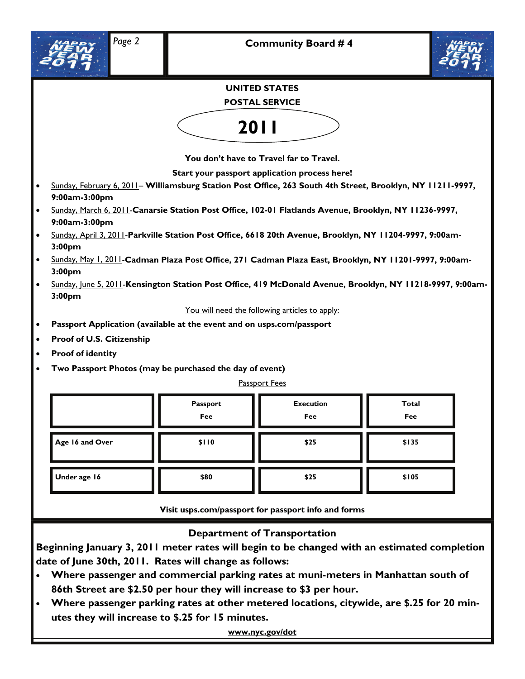



## **UNITED STATES**

### **POSTAL SERVICE**



**You don't have to Travel far to Travel.** 

**Start your passport application process here!** 

- Sunday, February 6, 2011– **Williamsburg Station Post Office, 263 South 4th Street, Brooklyn, NY 11211-9997, 9:00am-3:00pm**
- Sunday, March 6, 2011-**Canarsie Station Post Office, 102-01 Flatlands Avenue, Brooklyn, NY 11236-9997, 9:00am-3:00pm**
- Sunday, April 3, 2011-**Parkville Station Post Office, 6618 20th Avenue, Brooklyn, NY 11204-9997, 9:00am-3:00pm**
- Sunday, May 1, 2011-**Cadman Plaza Post Office, 271 Cadman Plaza East, Brooklyn, NY 11201-9997, 9:00am-3:00pm**
- Sunday, June 5, 2011-**Kensington Station Post Office, 419 McDonald Avenue, Brooklyn, NY 11218-9997, 9:00am-3:00pm**

You will need the following articles to apply:

- **Passport Application (available at the event and on usps.com/passport**
- **Proof of U.S. Citizenship**
- **Proof of identity**
- **Two Passport Photos (may be purchased the day of event)**

#### Passport Fees

|                 | Passport<br>Fee | <b>Execution</b><br>Fee | Total<br>Fee |
|-----------------|-----------------|-------------------------|--------------|
| Age 16 and Over | \$110           | \$25                    | \$135        |
| Under age 16    | \$80            | \$25                    | \$105        |

**Visit usps.com/passport for passport info and forms** 

## **Department of Transportation**

**Beginning January 3, 2011 meter rates will begin to be changed with an estimated completion date of June 30th, 2011. Rates will change as follows:** 

- **Where passenger and commercial parking rates at muni-meters in Manhattan south of 86th Street are \$2.50 per hour they will increase to \$3 per hour.**
- **Where passenger parking rates at other metered locations, citywide, are \$.25 for 20 minutes they will increase to \$.25 for 15 minutes.**

**www.nyc.gov/dot**